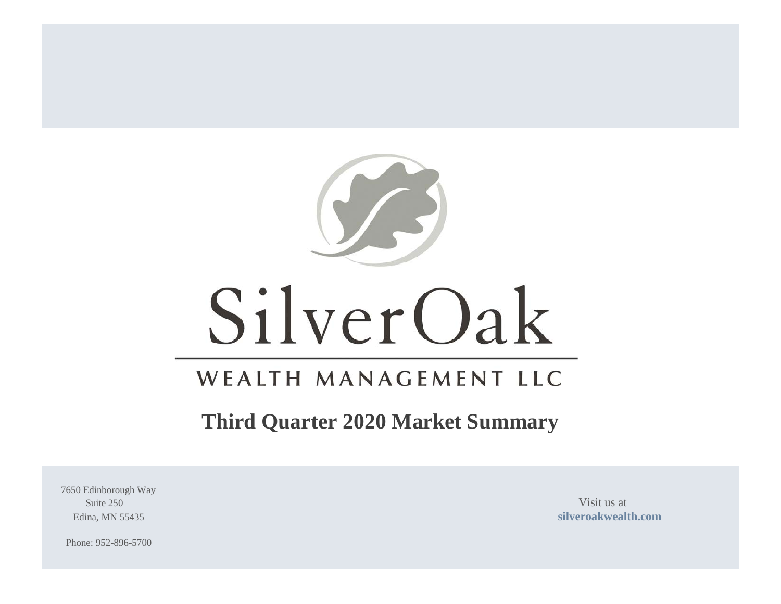

# SilverOak

# WEALTH MANAGEMENT LLC

# **Third Quarter 2020 Market Summary**

7650 Edinborough Way Suite 250 Visit us at

Edina, MN 55435 **[silveroakwealth.com](http://www.silveroakwealth.com/silveroakwealth.aspx)**

Phone: 952-896-5700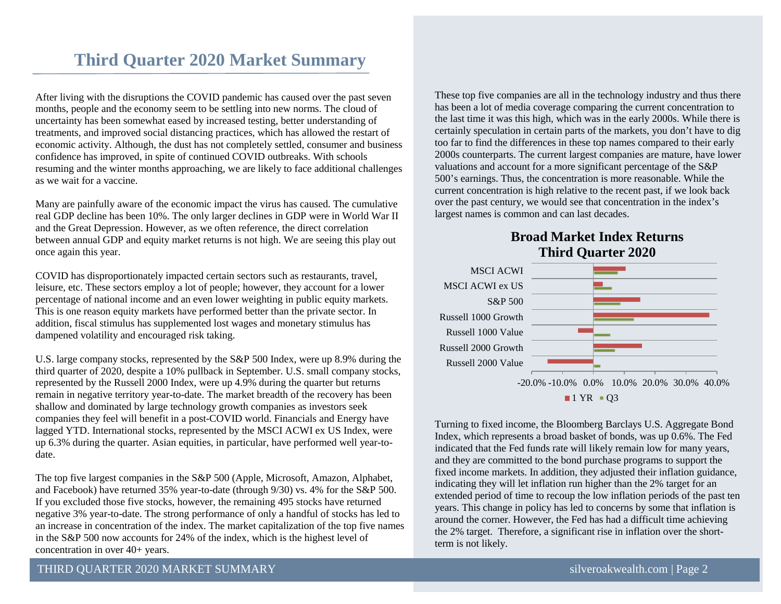# **Third Quarter 2020 Market Summary**

After living with the disruptions the COVID pandemic has caused over the past seven months, people and the economy seem to be settling into new norms. The cloud of uncertainty has been somewhat eased by increased testing, better understanding of treatments, and improved social distancing practices, which has allowed the restart of economic activity. Although, the dust has not completely settled, consumer and business confidence has improved, in spite of continued COVID outbreaks. With schools resuming and the winter months approaching, we are likely to face additional challenges as we wait for a vaccine.

Many are painfully aware of the economic impact the virus has caused. The cumulative real GDP decline has been 10%. The only larger declines in GDP were in World War II and the Great Depression. However, as we often reference, the direct correlation between annual GDP and equity market returns is not high. We are seeing this play out once again this year.

COVID has disproportionately impacted certain sectors such as restaurants, travel, leisure, etc. These sectors employ a lot of people; however, they account for a lower percentage of national income and an even lower weighting in public equity markets. This is one reason equity markets have performed better than the private sector. In addition, fiscal stimulus has supplemented lost wages and monetary stimulus has dampened volatility and encouraged risk taking.

U.S. large company stocks, represented by the S&P 500 Index, were up 8.9% during the third quarter of 2020, despite a 10% pullback in September. U.S. small company stocks, represented by the Russell 2000 Index, were up 4.9% during the quarter but returns remain in negative territory year-to-date. The market breadth of the recovery has been shallow and dominated by large technology growth companies as investors seek companies they feel will benefit in a post-COVID world. Financials and Energy have lagged YTD. International stocks, represented by the MSCI ACWI ex US Index, were up 6.3% during the quarter. Asian equities, in particular, have performed well year-todate.

The top five largest companies in the S&P 500 (Apple, Microsoft, Amazon, Alphabet, and Facebook) have returned 35% year-to-date (through 9/30) vs. 4% for the S&P 500. If you excluded those five stocks, however, the remaining 495 stocks have returned negative 3% year-to-date. The strong performance of only a handful of stocks has led to an increase in concentration of the index. The market capitalization of the top five names in the S&P 500 now accounts for 24% of the index, which is the highest level of concentration in over 40+ years.

These top five companies are all in the technology industry and thus there has been a lot of media coverage comparing the current concentration to the last time it was this high, which was in the early 2000s. While there is certainly speculation in certain parts of the markets, you don't have to dig too far to find the differences in these top names compared to their early 2000s counterparts. The current largest companies are mature, have lower valuations and account for a more significant percentage of the S&P 500's earnings. Thus, the concentration is more reasonable. While the current concentration is high relative to the recent past, if we look back over the past century, we would see that concentration in the index's largest names is common and can last decades.

# **Broad Market Index Returns Third Quarter 2020**



Turning to fixed income, the Bloomberg Barclays U.S. Aggregate Bond Index, which represents a broad basket of bonds, was up 0.6%. The Fed indicated that the Fed funds rate will likely remain low for many years, and they are committed to the bond purchase programs to support the fixed income markets. In addition, they adjusted their inflation guidance, indicating they will let inflation run higher than the 2% target for an extended period of time to recoup the low inflation periods of the past ten years. This change in policy has led to concerns by some that inflation is around the corner. However, the Fed has had a difficult time achieving the 2% target. Therefore, a significant rise in inflation over the shortterm is not likely.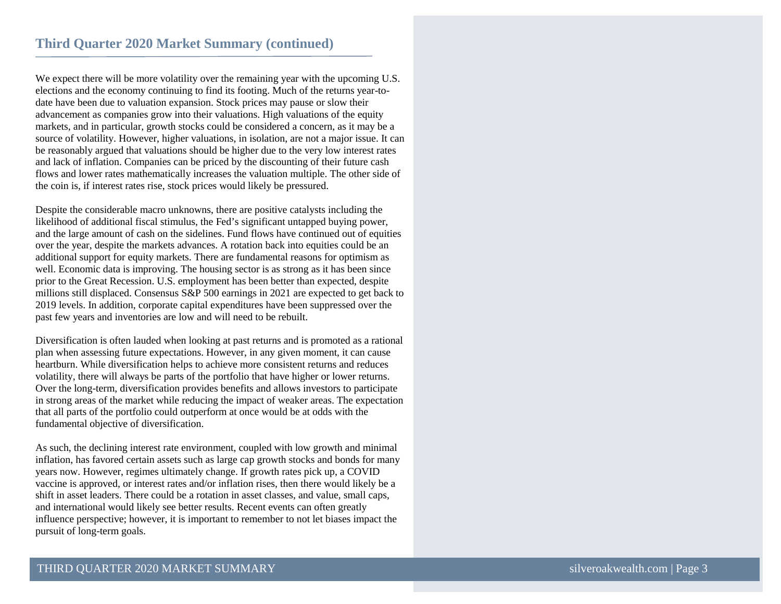We expect there will be more volatility over the remaining year with the upcoming U.S. elections and the economy continuing to find its footing. Much of the returns year-todate have been due to valuation expansion. Stock prices may pause or slow their advancement as companies grow into their valuations. High valuations of the equity markets, and in particular, growth stocks could be considered a concern, as it may be a source of volatility. However, higher valuations, in isolation, are not a major issue. It can be reasonably argued that valuations should be higher due to the very low interest rates and lack of inflation. Companies can be priced by the discounting of their future cash flows and lower rates mathematically increases the valuation multiple. The other side of the coin is, if interest rates rise, stock prices would likely be pressured.

Despite the considerable macro unknowns, there are positive catalysts including the likelihood of additional fiscal stimulus, the Fed's significant untapped buying power, and the large amount of cash on the sidelines. Fund flows have continued out of equities over the year, despite the markets advances. A rotation back into equities could be an additional support for equity markets. There are fundamental reasons for optimism as well. Economic data is improving. The housing sector is as strong as it has been since prior to the Great Recession. U.S. employment has been better than expected, despite millions still displaced. Consensus S&P 500 earnings in 2021 are expected to get back to 2019 levels. In addition, corporate capital expenditures have been suppressed over the past few years and inventories are low and will need to be rebuilt.

Diversification is often lauded when looking at past returns and is promoted as a rational plan when assessing future expectations. However, in any given moment, it can cause heartburn. While diversification helps to achieve more consistent returns and reduces volatility, there will always be parts of the portfolio that have higher or lower returns. Over the long-term, diversification provides benefits and allows investors to participate in strong areas of the market while reducing the impact of weaker areas. The expectation that all parts of the portfolio could outperform at once would be at odds with the fundamental objective of diversification.

As such, the declining interest rate environment, coupled with low growth and minimal inflation, has favored certain assets such as large cap growth stocks and bonds for many years now. However, regimes ultimately change. If growth rates pick up, a COVID vaccine is approved, or interest rates and/or inflation rises, then there would likely be a shift in asset leaders. There could be a rotation in asset classes, and value, small caps, and international would likely see better results. Recent events can often greatly influence perspective; however, it is important to remember to not let biases impact the pursuit of long-term goals.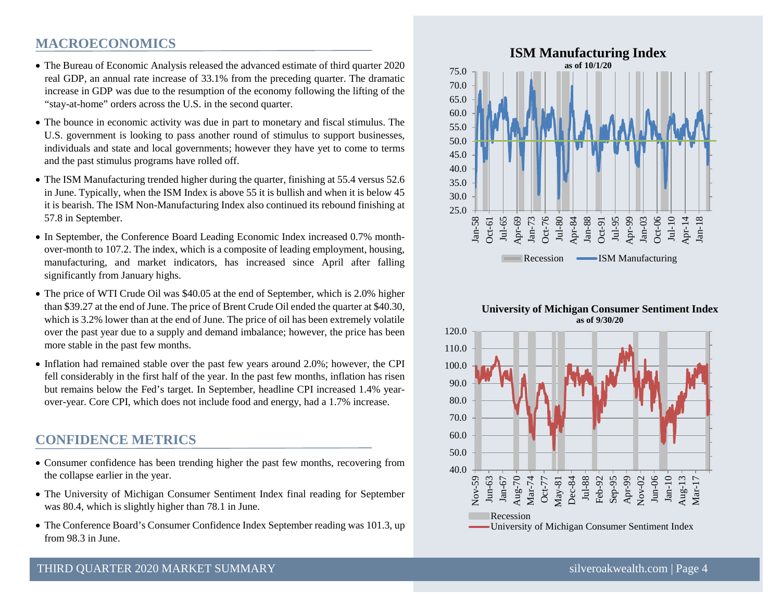# **MACROECONOMICS**

- The Bureau of Economic Analysis released the advanced estimate of third quarter 2020 real GDP, an annual rate increase of 33.1% from the preceding quarter. The dramatic increase in GDP was due to the resumption of the economy following the lifting of the "stay-at-home" orders across the U.S. in the second quarter.
- The bounce in economic activity was due in part to monetary and fiscal stimulus. The U.S. government is looking to pass another round of stimulus to support businesses, individuals and state and local governments; however they have yet to come to terms and the past stimulus programs have rolled off.
- The ISM Manufacturing trended higher during the quarter, finishing at 55.4 versus 52.6 in June. Typically, when the ISM Index is above 55 it is bullish and when it is below 45 it is bearish. The ISM Non-Manufacturing Index also continued its rebound finishing at 57.8 in September.
- In September, the Conference Board Leading Economic Index increased 0.7% monthover-month to 107.2. The index, which is a composite of leading employment, housing, manufacturing, and market indicators, has increased since April after falling significantly from January highs.
- The price of WTI Crude Oil was \$40.05 at the end of September, which is 2.0% higher than \$39.27 at the end of June. The price of Brent Crude Oil ended the quarter at \$40.30, which is 3.2% lower than at the end of June. The price of oil has been extremely volatile over the past year due to a supply and demand imbalance; however, the price has been more stable in the past few months.
- Inflation had remained stable over the past few years around 2.0%; however, the CPI fell considerably in the first half of the year. In the past few months, inflation has risen but remains below the Fed's target. In September, headline CPI increased 1.4% yearover-year. Core CPI, which does not include food and energy, had a 1.7% increase.

# **CONFIDENCE METRICS**

- Consumer confidence has been trending higher the past few months, recovering from the collapse earlier in the year.
- The University of Michigan Consumer Sentiment Index final reading for September was 80.4, which is slightly higher than 78.1 in June.
- The Conference Board's Consumer Confidence Index September reading was 101.3, up from 98.3 in June.



#### **University of Michigan Consumer Sentiment Index as of 9/30/20**

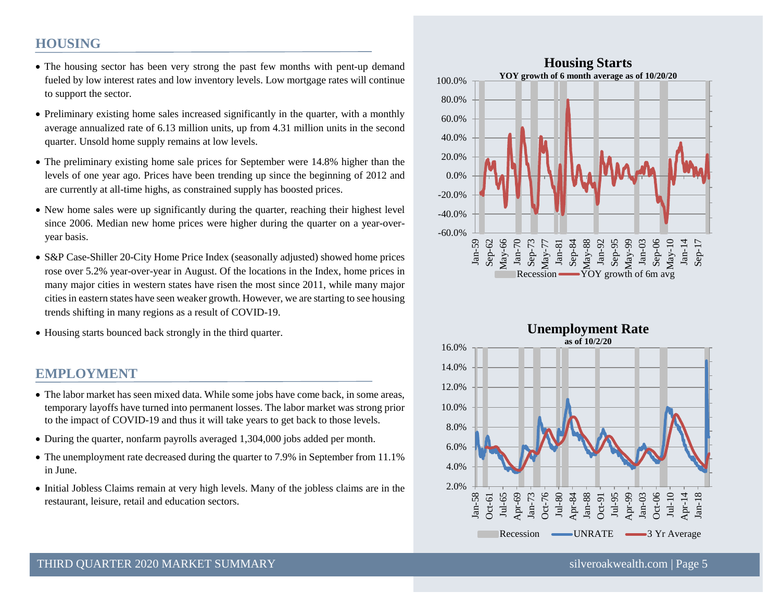# **HOUSING**

- The housing sector has been very strong the past few months with pent-up demand fueled by low interest rates and low inventory levels. Low mortgage rates will continue to support the sector.
- Preliminary existing home sales increased significantly in the quarter, with a monthly average annualized rate of 6.13 million units, up from 4.31 million units in the second quarter. Unsold home supply remains at low levels.
- The preliminary existing home sale prices for September were 14.8% higher than the levels of one year ago. Prices have been trending up since the beginning of 2012 and are currently at all-time highs, as constrained supply has boosted prices.
- New home sales were up significantly during the quarter, reaching their highest level since 2006. Median new home prices were higher during the quarter on a year-overyear basis.
- S&P Case-Shiller 20-City Home Price Index (seasonally adjusted) showed home prices rose over 5.2% year-over-year in August. Of the locations in the Index, home prices in many major cities in western states have risen the most since 2011, while many major cities in eastern states have seen weaker growth. However, we are starting to see housing trends shifting in many regions as a result of COVID-19.
- Housing starts bounced back strongly in the third quarter.

# **EMPLOYMENT**

- The labor market has seen mixed data. While some jobs have come back, in some areas, temporary layoffs have turned into permanent losses. The labor market was strong prior to the impact of COVID-19 and thus it will take years to get back to those levels.
- During the quarter, nonfarm payrolls averaged 1,304,000 jobs added per month.
- The unemployment rate decreased during the quarter to 7.9% in September from 11.1% in June.
- Initial Jobless Claims remain at very high levels. Many of the jobless claims are in the restaurant, leisure, retail and education sectors.



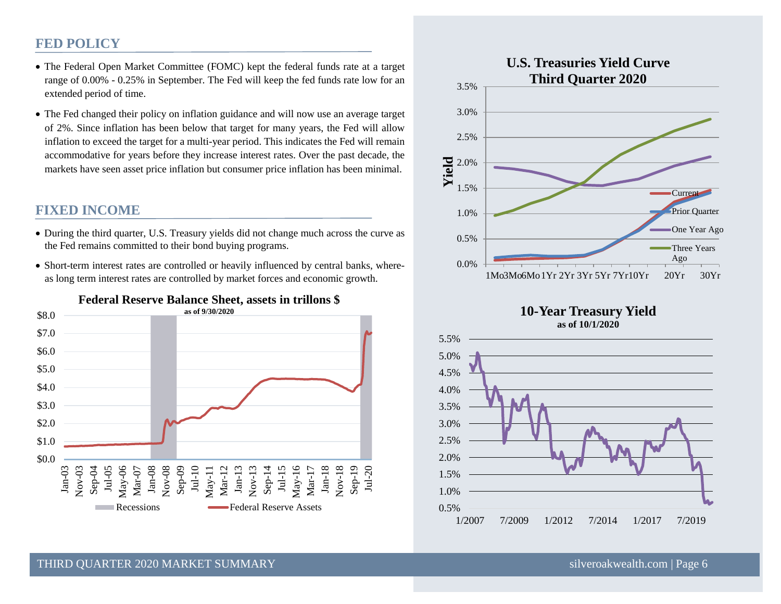# **FED POLICY**

- The Federal Open Market Committee (FOMC) kept the federal funds rate at a target range of 0.00% - 0.25% in September. The Fed will keep the fed funds rate low for an extended period of time.
- The Fed changed their policy on inflation guidance and will now use an average target of 2%. Since inflation has been below that target for many years, the Fed will allow inflation to exceed the target for a multi-year period. This indicates the Fed will remain accommodative for years before they increase interest rates. Over the past decade, the markets have seen asset price inflation but consumer price inflation has been minimal.

## **FIXED INCOME**

- During the third quarter, U.S. Treasury yields did not change much across the curve as the Fed remains committed to their bond buying programs.
- Short-term interest rates are controlled or heavily influenced by central banks, whereas long term interest rates are controlled by market forces and economic growth.



# **Federal Reserve Balance Sheet, assets in trillons \$**



#### **10-Year Treasury Yield as of 10/1/2020**



#### THIRD OUARTER 2020 MARKET SUMMARY SILVERO AND SILVERO SILVEROAKWEALTHEED SILVEROAKWEALTHEED SILVEROAKWEALTHEED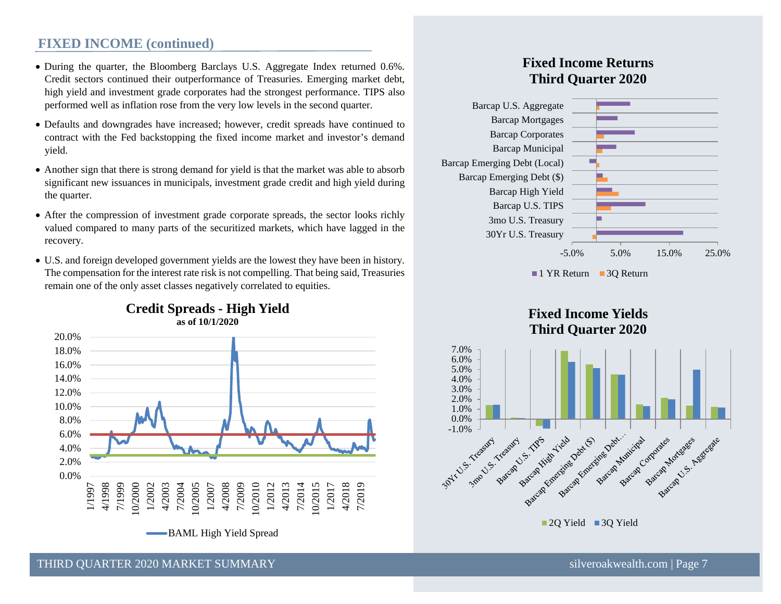## **FIXED INCOME (continued)**

- During the quarter, the Bloomberg Barclays U.S. Aggregate Index returned 0.6%. Credit sectors continued their outperformance of Treasuries. Emerging market debt, high yield and investment grade corporates had the strongest performance. TIPS also performed well as inflation rose from the very low levels in the second quarter.
- Defaults and downgrades have increased; however, credit spreads have continued to contract with the Fed backstopping the fixed income market and investor's demand yield.
- Another sign that there is strong demand for yield is that the market was able to absorb significant new issuances in municipals, investment grade credit and high yield during the quarter.
- After the compression of investment grade corporate spreads, the sector looks richly valued compared to many parts of the securitized markets, which have lagged in the recovery.
- U.S. and foreign developed government yields are the lowest they have been in history. The compensation for the interest rate risk is not compelling. That being said, Treasuries remain one of the only asset classes negatively correlated to equities.



# **Fixed Income Returns Third Quarter 2020**







THIRD OUARTER 2020 MARKET SUMMARY SILVER AND SHOW SILVEROAKWEALTHEED STATES SILVEROAKWEALTHEED STATES TO SAFET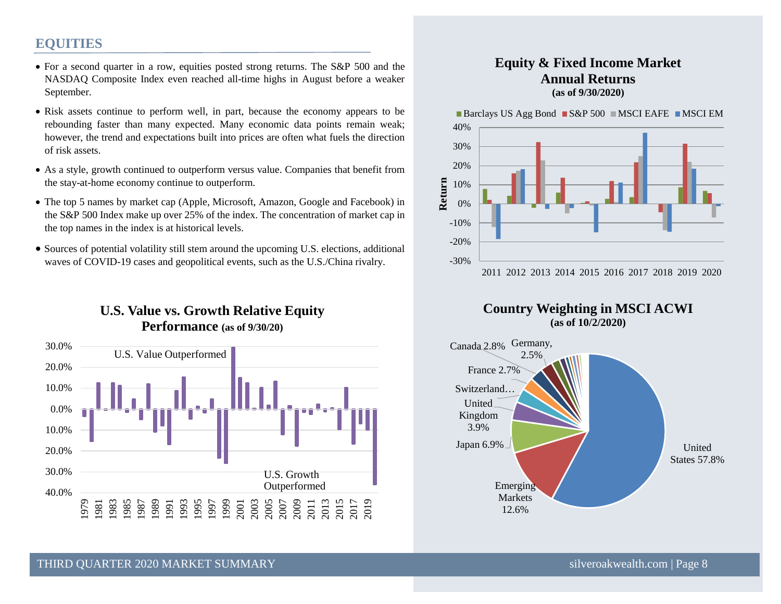# **EQUITIES**

- For a second quarter in a row, equities posted strong returns. The S&P 500 and the NASDAQ Composite Index even reached all-time highs in August before a weaker September.
- Risk assets continue to perform well, in part, because the economy appears to be rebounding faster than many expected. Many economic data points remain weak; however, the trend and expectations built into prices are often what fuels the direction of risk assets.
- As a style, growth continued to outperform versus value. Companies that benefit from the stay-at-home economy continue to outperform.
- The top 5 names by market cap (Apple, Microsoft, Amazon, Google and Facebook) in the S&P 500 Index make up over 25% of the index. The concentration of market cap in the top names in the index is at historical levels.
- Sources of potential volatility still stem around the upcoming U.S. elections, additional waves of COVID-19 cases and geopolitical events, such as the U.S./China rivalry.

# **U.S. Value vs. Growth Relative Equity Performance (as of 9/30/20)**

![](_page_7_Figure_7.jpeg)

### **Equity & Fixed Income Market Annual Returns (as of 9/30/2020)**

Barclays US Agg Bond  $\blacksquare$  S&P 500  $\blacksquare$  MSCI EAFE  $\blacksquare$  MSCI EM

![](_page_7_Figure_10.jpeg)

#### **Country Weighting in MSCI ACWI (as of 10/2/2020)**

![](_page_7_Figure_12.jpeg)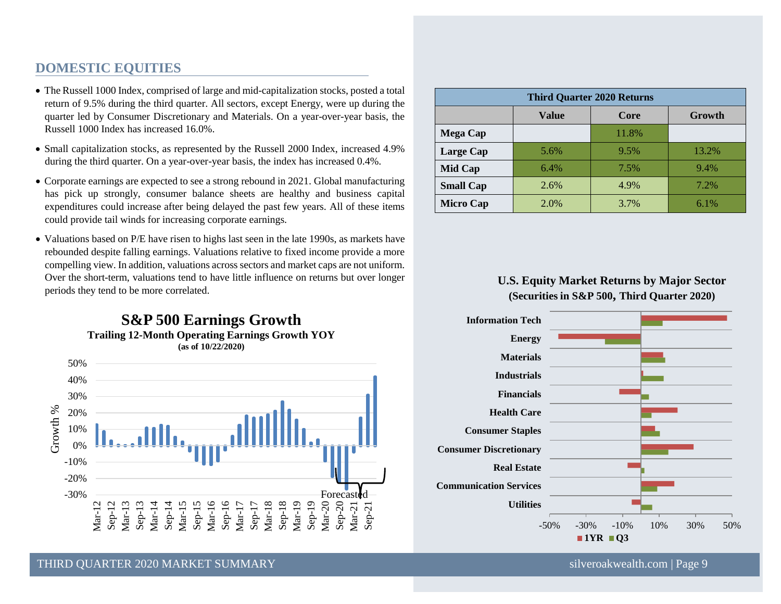# **DOMESTIC EQUITIES**

- The Russell 1000 Index, comprised of large and mid-capitalization stocks, posted a total return of 9.5% during the third quarter. All sectors, except Energy, were up during the quarter led by Consumer Discretionary and Materials. On a year-over-year basis, the Russell 1000 Index has increased 16.0%.
- Small capitalization stocks, as represented by the Russell 2000 Index, increased 4.9% during the third quarter. On a year-over-year basis, the index has increased 0.4%.
- Corporate earnings are expected to see a strong rebound in 2021. Global manufacturing has pick up strongly, consumer balance sheets are healthy and business capital expenditures could increase after being delayed the past few years. All of these items could provide tail winds for increasing corporate earnings.
- Valuations based on P/E have risen to highs last seen in the late 1990s, as markets have rebounded despite falling earnings. Valuations relative to fixed income provide a more compelling view. In addition, valuations across sectors and market caps are not uniform. Over the short-term, valuations tend to have little influence on returns but over longer periods they tend to be more correlated.

![](_page_8_Figure_5.jpeg)

| <b>Third Quarter 2020 Returns</b> |       |       |         |
|-----------------------------------|-------|-------|---------|
|                                   | Value | Core  | Growth  |
| <b>Mega Cap</b>                   |       | 11.8% |         |
| Large Cap                         | 5.6%  | 9.5%  | 13.2%   |
| Mid Cap                           | 6.4%  | 7.5%  | $9.4\%$ |
| <b>Small Cap</b>                  | 2.6%  | 4.9%  | $7.2\%$ |
| <b>Micro Cap</b>                  | 2.0%  | 3.7%  | $6.1\%$ |

# **U.S. Equity Market Returns by Major Sector (Securities in S&P 500, Third Quarter 2020)**

![](_page_8_Figure_8.jpeg)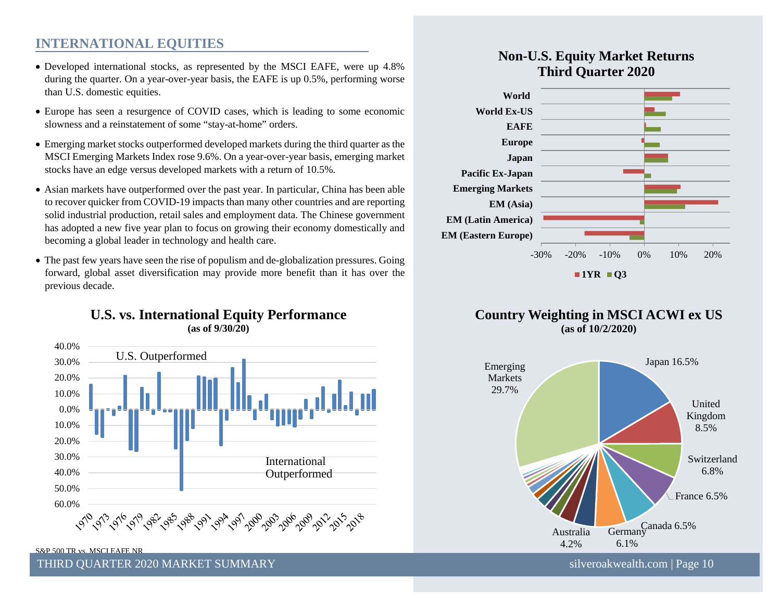# **INTERNATIONAL EQUITIES**

- Developed international stocks, as represented by the MSCI EAFE, were up 4.8% during the quarter. On a year-over-year basis, the EAFE is up 0.5%, performing worse than U.S. domestic equities.
- Europe has seen a resurgence of COVID cases, which is leading to some economic slowness and a reinstatement of some "stay-at-home" orders.
- Emerging market stocks outperformed developed markets during the third quarter as the MSCI Emerging Markets Index rose 9.6%. On a year-over-year basis, emerging market stocks have an edge versus developed markets with a return of 10.5%.
- Asian markets have outperformed over the past year. In particular, China has been able to recover quicker from COVID-19 impacts than many other countries and are reporting solid industrial production, retail sales and employment data. The Chinese government has adopted a new five year plan to focus on growing their economy domestically and becoming a global leader in technology and health care.
- The past few years have seen the rise of populism and de-globalization pressures. Going forward, global asset diversification may provide more benefit than it has over the previous decade.

# **U.S. vs. International Equity Performance (as of 9/30/20)**

![](_page_9_Figure_7.jpeg)

# **Non-U.S. Equity Market Returns Third Quarter 2020**

![](_page_9_Figure_9.jpeg)

![](_page_9_Figure_10.jpeg)

![](_page_9_Figure_11.jpeg)

S&P 500 TR vs. MSCI EAFE NR